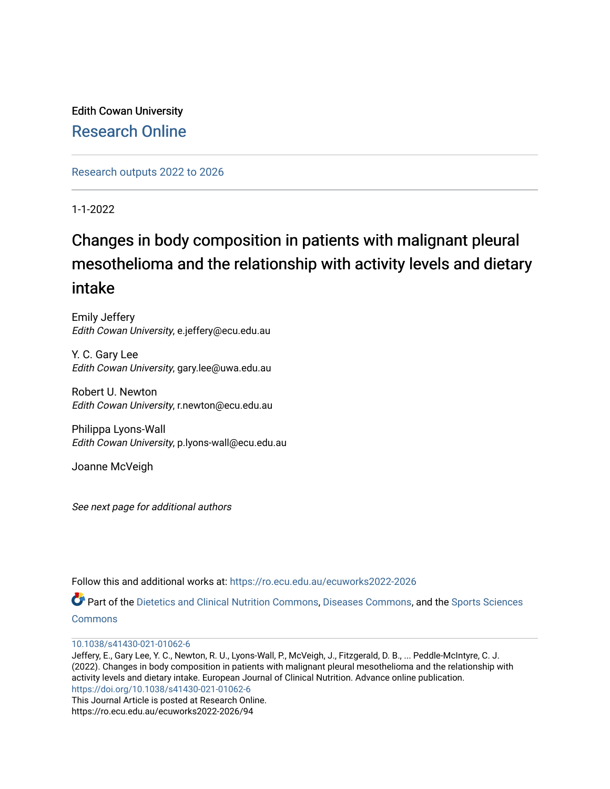Edith Cowan University [Research Online](https://ro.ecu.edu.au/) 

[Research outputs 2022 to 2026](https://ro.ecu.edu.au/ecuworks2022-2026) 

1-1-2022

# Changes in body composition in patients with malignant pleural mesothelioma and the relationship with activity levels and dietary intake

Emily Jeffery Edith Cowan University, e.jeffery@ecu.edu.au

Y. C. Gary Lee Edith Cowan University, gary.lee@uwa.edu.au

Robert U. Newton Edith Cowan University, r.newton@ecu.edu.au

Philippa Lyons-Wall Edith Cowan University, p.lyons-wall@ecu.edu.au

Joanne McVeigh

See next page for additional authors

Follow this and additional works at: [https://ro.ecu.edu.au/ecuworks2022-2026](https://ro.ecu.edu.au/ecuworks2022-2026?utm_source=ro.ecu.edu.au%2Fecuworks2022-2026%2F94&utm_medium=PDF&utm_campaign=PDFCoverPages)

Part of the [Dietetics and Clinical Nutrition Commons,](http://network.bepress.com/hgg/discipline/662?utm_source=ro.ecu.edu.au%2Fecuworks2022-2026%2F94&utm_medium=PDF&utm_campaign=PDFCoverPages) [Diseases Commons](http://network.bepress.com/hgg/discipline/813?utm_source=ro.ecu.edu.au%2Fecuworks2022-2026%2F94&utm_medium=PDF&utm_campaign=PDFCoverPages), and the [Sports Sciences](http://network.bepress.com/hgg/discipline/759?utm_source=ro.ecu.edu.au%2Fecuworks2022-2026%2F94&utm_medium=PDF&utm_campaign=PDFCoverPages) **[Commons](http://network.bepress.com/hgg/discipline/759?utm_source=ro.ecu.edu.au%2Fecuworks2022-2026%2F94&utm_medium=PDF&utm_campaign=PDFCoverPages)** 

# [10.1038/s41430-021-01062-6](http://dx.doi.org/10.1038/s41430-021-01062-6)

Jeffery, E., Gary Lee, Y. C., Newton, R. U., Lyons-Wall, P., McVeigh, J., Fitzgerald, D. B., ... Peddle-McIntyre, C. J. (2022). Changes in body composition in patients with malignant pleural mesothelioma and the relationship with activity levels and dietary intake. European Journal of Clinical Nutrition. Advance online publication. <https://doi.org/10.1038/s41430-021-01062-6>

This Journal Article is posted at Research Online. https://ro.ecu.edu.au/ecuworks2022-2026/94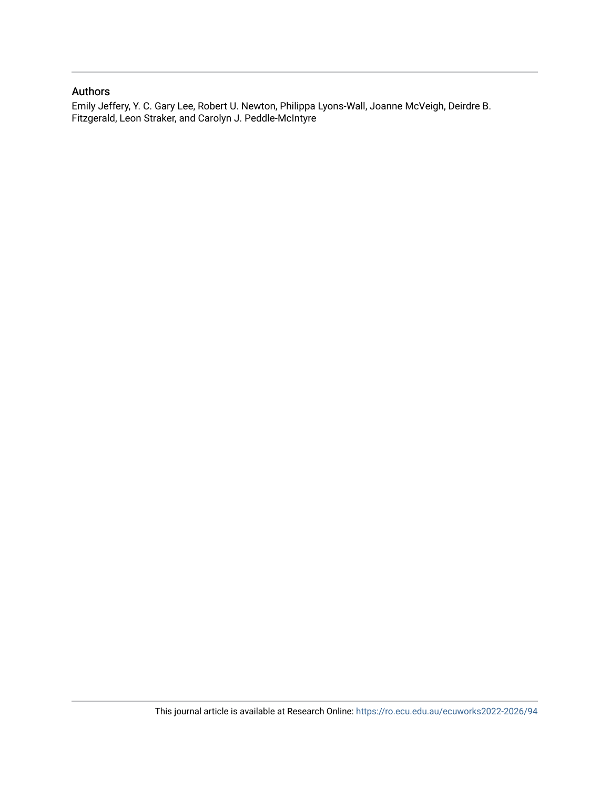# Authors

Emily Jeffery, Y. C. Gary Lee, Robert U. Newton, Philippa Lyons-Wall, Joanne McVeigh, Deirdre B. Fitzgerald, Leon Straker, and Carolyn J. Peddle-McIntyre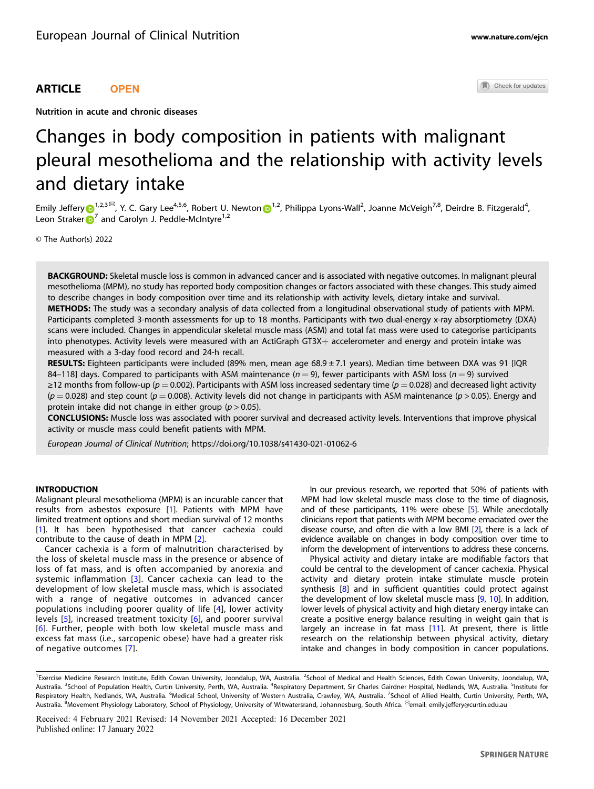Check for updates

# ARTICLE **OPEN**

Nutrition in acute and chronic diseases

# Changes in body composition in patients with malignant pleural mesothelioma and the relationship with activity levels and dietary intake

Emily Jeffery $\bigodot^{1,2,3\boxtimes}$  $\bigodot^{1,2,3\boxtimes}$  $\bigodot^{1,2,3\boxtimes}$ , Y. C. Gary Lee<sup>4,5,6</sup>, Robert U. Newton  $\bigodot^{1,2}$ , Philippa Lyons-Wall<sup>2</sup>, Joanne McVeigh<sup>7,8</sup>, Deirdre B. Fitzgerald<sup>4</sup>, Leon Straker  $\mathbb{D}^7$  $\mathbb{D}^7$  and Carolyn J. Peddle-McIntyre<sup>1,2</sup>

© The Author(s) 2022

BACKGROUND: Skeletal muscle loss is common in advanced cancer and is associated with negative outcomes. In malignant pleural mesothelioma (MPM), no study has reported body composition changes or factors associated with these changes. This study aimed to describe changes in body composition over time and its relationship with activity levels, dietary intake and survival. METHODS: The study was a secondary analysis of data collected from a longitudinal observational study of patients with MPM. Participants completed 3-month assessments for up to 18 months. Participants with two dual-energy x-ray absorptiometry (DXA) scans were included. Changes in appendicular skeletal muscle mass (ASM) and total fat mass were used to categorise participants into phenotypes. Activity levels were measured with an ActiGraph GT3X+ accelerometer and energy and protein intake was measured with a 3-day food record and 24-h recall.

RESULTS: Eighteen participants were included (89% men, mean age 68.9 ± 7.1 years). Median time between DXA was 91 [IQR 84–118] days. Compared to participants with ASM maintenance  $(n = 9)$ , fewer participants with ASM loss  $(n = 9)$  survived ≥12 months from follow-up ( $p = 0.002$ ). Participants with ASM loss increased sedentary time ( $p = 0.028$ ) and decreased light activity  $(p = 0.028)$  and step count ( $p = 0.008$ ). Activity levels did not change in participants with ASM maintenance ( $p > 0.05$ ). Energy and protein intake did not change in either group ( $p > 0.05$ ).

CONCLUSIONS: Muscle loss was associated with poorer survival and decreased activity levels. Interventions that improve physical activity or muscle mass could benefit patients with MPM.

European Journal of Clinical Nutrition;<https://doi.org/10.1038/s41430-021-01062-6>

## INTRODUCTION

Malignant pleural mesothelioma (MPM) is an incurable cancer that results from asbestos exposure [\[1\]](#page-8-0). Patients with MPM have limited treatment options and short median survival of 12 months [\[1\]](#page-8-0). It has been hypothesised that cancer cachexia could contribute to the cause of death in MPM [[2](#page-8-0)].

Cancer cachexia is a form of malnutrition characterised by the loss of skeletal muscle mass in the presence or absence of loss of fat mass, and is often accompanied by anorexia and systemic inflammation [[3\]](#page-8-0). Cancer cachexia can lead to the development of low skeletal muscle mass, which is associated with a range of negative outcomes in advanced cancer populations including poorer quality of life [[4\]](#page-8-0), lower activity levels [[5\]](#page-8-0), increased treatment toxicity [[6\]](#page-8-0), and poorer survival [[6](#page-8-0)]. Further, people with both low skeletal muscle mass and excess fat mass (i.e., sarcopenic obese) have had a greater risk of negative outcomes [\[7](#page-8-0)].

In our previous research, we reported that 50% of patients with MPM had low skeletal muscle mass close to the time of diagnosis, and of these participants, 11% were obese [[5](#page-8-0)]. While anecdotally clinicians report that patients with MPM become emaciated over the disease course, and often die with a low BMI [[2](#page-8-0)], there is a lack of evidence available on changes in body composition over time to inform the development of interventions to address these concerns.

Physical activity and dietary intake are modifiable factors that could be central to the development of cancer cachexia. Physical activity and dietary protein intake stimulate muscle protein synthesis [\[8\]](#page-8-0) and in sufficient quantities could protect against the development of low skeletal muscle mass [\[9,](#page-8-0) [10\]](#page-8-0). In addition, lower levels of physical activity and high dietary energy intake can create a positive energy balance resulting in weight gain that is largely an increase in fat mass [[11](#page-8-0)]. At present, there is little research on the relationship between physical activity, dietary intake and changes in body composition in cancer populations.

<sup>&</sup>lt;sup>1</sup>Exercise Medicine Research Institute, Edith Cowan University, Joondalup, WA, Australia. <sup>2</sup>School of Medical and Health Sciences, Edith Cowan University, Joondalup, WA, Australia. <sup>3</sup>School of Population Health, Curtin University, Perth, WA, Australia. <sup>4</sup>Respiratory Department, Sir Charles Gairdner Hospital, Nedlands, WA, Australia. <sup>5</sup>Institute for Respiratory Health, Nedlands, WA, Australia. <sup>6</sup>Medical School, University of Western Australia, Crawley, WA, Australia. <sup>7</sup>School of Allied Health, Curtin University, Perth, WA, Australia. <sup>8</sup>Movement Physiology Laboratory, School of Physiology, University of Witwatersrand, Johannesburg, South Africa. <sup>⊠</sup>email: [emily.jeffery@curtin.edu.au](mailto:emily.jeffery@curtin.edu.au)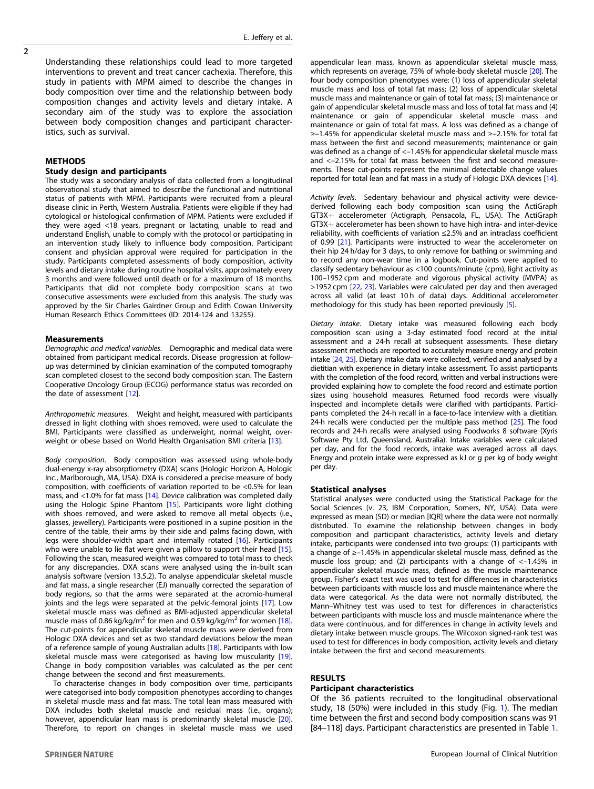Understanding these relationships could lead to more targeted interventions to prevent and treat cancer cachexia. Therefore, this study in patients with MPM aimed to describe the changes in body composition over time and the relationship between body composition changes and activity levels and dietary intake. A secondary aim of the study was to explore the association between body composition changes and participant characteristics, such as survival.

#### **METHODS**

## Study design and participants

The study was a secondary analysis of data collected from a longitudinal observational study that aimed to describe the functional and nutritional status of patients with MPM. Participants were recruited from a pleural disease clinic in Perth, Western Australia. Patients were eligible if they had cytological or histological confirmation of MPM. Patients were excluded if they were aged <18 years, pregnant or lactating, unable to read and understand English, unable to comply with the protocol or participating in an intervention study likely to influence body composition. Participant consent and physician approval were required for participation in the study. Participants completed assessments of body composition, activity levels and dietary intake during routine hospital visits, approximately every 3 months and were followed until death or for a maximum of 18 months. Participants that did not complete body composition scans at two consecutive assessments were excluded from this analysis. The study was approved by the Sir Charles Gairdner Group and Edith Cowan University Human Research Ethics Committees (ID: 2014-124 and 13255).

#### Measurements

Demographic and medical variables. Demographic and medical data were obtained from participant medical records. Disease progression at followup was determined by clinician examination of the computed tomography scan completed closest to the second body composition scan. The Eastern Cooperative Oncology Group (ECOG) performance status was recorded on the date of assessment [\[12\]](#page-8-0).

Anthropometric measures. Weight and height, measured with participants dressed in light clothing with shoes removed, were used to calculate the BMI. Participants were classified as underweight, normal weight, overweight or obese based on World Health Organisation BMI criteria [[13\]](#page-8-0).

Body composition. Body composition was assessed using whole-body dual-energy x-ray absorptiometry (DXA) scans (Hologic Horizon A, Hologic Inc., Marlborough, MA, USA). DXA is considered a precise measure of body composition, with coefficients of variation reported to be <0.5% for lean mass, and <1.0% for fat mass [\[14](#page-8-0)]. Device calibration was completed daily using the Hologic Spine Phantom [\[15](#page-8-0)]. Participants wore light clothing with shoes removed, and were asked to remove all metal objects (i.e., glasses, jewellery). Participants were positioned in a supine position in the centre of the table, their arms by their side and palms facing down, with legs were shoulder-width apart and internally rotated [[16](#page-8-0)]. Participants who were unable to lie flat were given a pillow to support their head [\[15\]](#page-8-0). Following the scan, measured weight was compared to total mass to check for any discrepancies. DXA scans were analysed using the in-built scan analysis software (version 13.5.2). To analyse appendicular skeletal muscle and fat mass, a single researcher (EJ) manually corrected the separation of body regions, so that the arms were separated at the acromio-humeral joints and the legs were separated at the pelvic-femoral joints [[17\]](#page-8-0). Low skeletal muscle mass was defined as BMI-adjusted appendicular skeletal muscle mass of 0.86 kg/kg/m<sup>2</sup> for men and 0.59 kg/kg/m<sup>2</sup> for women [\[18\]](#page-8-0). The cut-points for appendicular skeletal muscle mass were derived from Hologic DXA devices and set as two standard deviations below the mean of a reference sample of young Australian adults [\[18](#page-8-0)]. Participants with low skeletal muscle mass were categorised as having low muscularity [\[19\]](#page-8-0). Change in body composition variables was calculated as the per cent change between the second and first measurements.

To characterise changes in body composition over time, participants were categorised into body composition phenotypes according to changes in skeletal muscle mass and fat mass. The total lean mass measured with DXA includes both skeletal muscle and residual mass (i.e., organs); however, appendicular lean mass is predominantly skeletal muscle [\[20\]](#page-8-0). Therefore, to report on changes in skeletal muscle mass we used

appendicular lean mass, known as appendicular skeletal muscle mass, which represents on average, 75% of whole-body skeletal muscle [\[20](#page-8-0)]. The four body composition phenotypes were: (1) loss of appendicular skeletal muscle mass and loss of total fat mass; (2) loss of appendicular skeletal muscle mass and maintenance or gain of total fat mass; (3) maintenance or gain of appendicular skeletal muscle mass and loss of total fat mass and (4) maintenance or gain of appendicular skeletal muscle mass and maintenance or gain of total fat mass. A loss was defined as a change of ≥–1.45% for appendicular skeletal muscle mass and ≥–2.15% for total fat mass between the first and second measurements; maintenance or gain was defined as a change of <–1.45% for appendicular skeletal muscle mass and <–2.15% for total fat mass between the first and second measurements. These cut-points represent the minimal detectable change values reported for total lean and fat mass in a study of Hologic DXA devices [\[14\]](#page-8-0).

Activity levels. Sedentary behaviour and physical activity were devicederived following each body composition scan using the ActiGraph GT3X+ accelerometer (Actigraph, Pensacola, FL, USA). The ActiGraph GT3X+ accelerometer has been shown to have high intra- and inter-device reliability, with coefficients of variation ≤2.5% and an intraclass coefficient of 0.99 [[21](#page-8-0)]. Participants were instructed to wear the accelerometer on their hip 24 h/day for 3 days, to only remove for bathing or swimming and to record any non-wear time in a logbook. Cut-points were applied to classify sedentary behaviour as <100 counts/minute (cpm), light activity as 100–1952 cpm and moderate and vigorous physical activity (MVPA) as >1952 cpm [\[22](#page-8-0), [23\]](#page-8-0). Variables were calculated per day and then averaged across all valid (at least 10 h of data) days. Additional accelerometer methodology for this study has been reported previously [[5](#page-8-0)].

Dietary intake. Dietary intake was measured following each body composition scan using a 3-day estimated food record at the initial assessment and a 24-h recall at subsequent assessments. These dietary assessment methods are reported to accurately measure energy and protein intake [\[24](#page-8-0), [25\]](#page-8-0). Dietary intake data were collected, verified and analysed by a dietitian with experience in dietary intake assessment. To assist participants with the completion of the food record, written and verbal instructions were provided explaining how to complete the food record and estimate portion sizes using household measures. Returned food records were visually inspected and incomplete details were clarified with participants. Participants completed the 24-h recall in a face-to-face interview with a dietitian. 24-h recalls were conducted per the multiple pass method [[25\]](#page-8-0). The food records and 24-h recalls were analysed using Foodworks 8 software (Xyris Software Pty Ltd, Queensland, Australia). Intake variables were calculated per day, and for the food records, intake was averaged across all days. Energy and protein intake were expressed as kJ or g per kg of body weight per day.

#### Statistical analyses

Statistical analyses were conducted using the Statistical Package for the Social Sciences (v. 23, IBM Corporation, Somers, NY, USA). Data were expressed as mean (SD) or median [IQR] where the data were not normally distributed. To examine the relationship between changes in body composition and participant characteristics, activity levels and dietary intake, participants were condensed into two groups: (1) participants with a change of ≥–1.45% in appendicular skeletal muscle mass, defined as the muscle loss group; and (2) participants with a change of <–1.45% in appendicular skeletal muscle mass, defined as the muscle maintenance group. Fisher's exact test was used to test for differences in characteristics between participants with muscle loss and muscle maintenance where the data were categorical. As the data were not normally distributed, the Mann–Whitney test was used to test for differences in characteristics between participants with muscle loss and muscle maintenance where the data were continuous, and for differences in change in activity levels and dietary intake between muscle groups. The Wilcoxon signed-rank test was used to test for differences in body composition, activity levels and dietary intake between the first and second measurements.

#### RESULTS

#### Participant characteristics

Of the 36 patients recruited to the longitudinal observational study, 18 (50%) were included in this study (Fig. [1](#page-4-0)). The median time between the first and second body composition scans was 91 [84-118] days. Participant characteristics are presented in Table [1.](#page-4-0)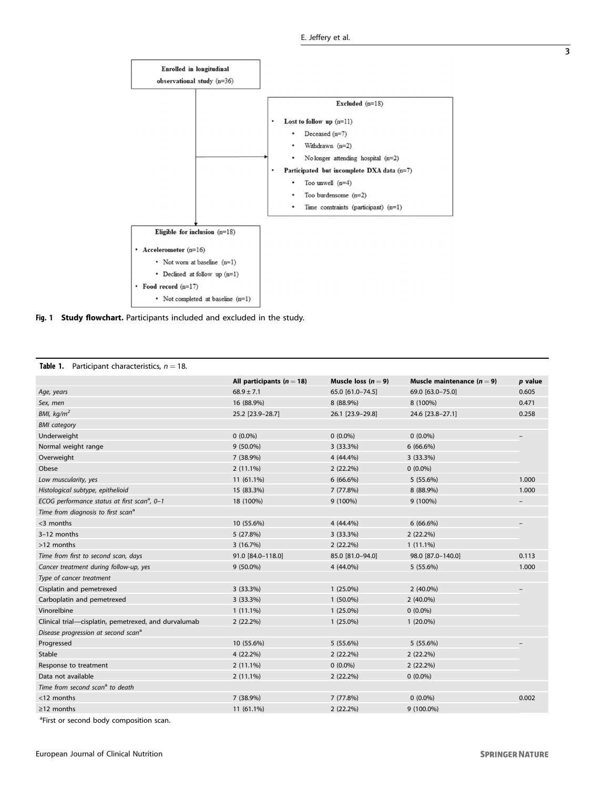<span id="page-4-0"></span>

Fig. 1 Study flowchart. Participants included and excluded in the study.

# Table 1. Participant characteristics,  $n = 18$ .

|                                                          | All participants ( $n = 18$ ) | Muscle loss $(n=9)$ | Muscle maintenance $(n = 9)$ | p value |
|----------------------------------------------------------|-------------------------------|---------------------|------------------------------|---------|
| Age, years                                               | $68.9 \pm 7.1$                | 65.0 [61.0-74.5]    | 69.0 [63.0-75.0]             | 0.605   |
| Sex, men                                                 | 16 (88.9%)                    | 8 (88.9%)           | 8 (100%)                     | 0.471   |
| BMI, $kg/m2$                                             | 25.2 [23.9-28.7]              | 26.1 [23.9-29.8]    | 24.6 [23.8-27.1]             | 0.258   |
| <b>BMI</b> category                                      |                               |                     |                              |         |
| Underweight                                              | $0(0.0\%)$                    | $0(0.0\%)$          | $0(0.0\%)$                   |         |
| Normal weight range                                      | $9(50.0\%)$                   | 3 (33.3%)           | $6(66.6\%)$                  |         |
| Overweight                                               | 7 (38.9%)                     | 4 (44.4%)           | 3(33.3%)                     |         |
| Obese                                                    | $2(11.1\%)$                   | $2(22.2\%)$         | $0(0.0\%)$                   |         |
| Low muscularity, yes                                     | 11 (61.1%)                    | $6(66.6\%)$         | 5 (55.6%)                    | 1.000   |
| Histological subtype, epithelioid                        | 15 (83.3%)                    | 7 (77.8%)           | 8 (88.9%)                    | 1.000   |
| ECOG performance status at first scan <sup>a</sup> , 0-1 | 18 (100%)                     | 9 (100%)            | 9 (100%)                     |         |
| Time from diagnosis to first scan <sup>a</sup>           |                               |                     |                              |         |
| $<$ 3 months                                             | 10 (55.6%)                    | 4 (44.4%)           | 6(66.6%)                     |         |
| 3-12 months                                              | 5(27.8%)                      | 3 (33.3%)           | 2(22.2%)                     |         |
| >12 months                                               | 3(16.7%)                      | $2(22.2\%)$         | $1(11.1\%)$                  |         |
| Time from first to second scan, days                     | 91.0 [84.0-118.0]             | 85.0 [81.0-94.0]    | 98.0 [87.0-140.0]            | 0.113   |
| Cancer treatment during follow-up, yes                   | $9(50.0\%)$                   | 4 (44.0%)           | 5 (55.6%)                    | 1.000   |
| Type of cancer treatment                                 |                               |                     |                              |         |
| Cisplatin and pemetrexed                                 | 3(33.3%)                      | $1(25.0\%)$         | $2(40.0\%)$                  |         |
| Carboplatin and pemetrexed                               | 3(33.3%)                      | $1(50.0\%)$         | $2(40.0\%)$                  |         |
| Vinorelbine                                              | $1(11.1\%)$                   | $1(25.0\%)$         | $0(0.0\%)$                   |         |
| Clinical trial-cisplatin, pemetrexed, and durvalumab     | 2(22.2%)                      | $1(25.0\%)$         | $1(20.0\%)$                  |         |
| Disease progression at second scan <sup>a</sup>          |                               |                     |                              |         |
| Progressed                                               | 10 (55.6%)                    | 5 (55.6%)           | 5 (55.6%)                    |         |
| Stable                                                   | 4 (22.2%)                     | 2(22.2%)            | 2(22.2%)                     |         |
| Response to treatment                                    | $2(11.1\%)$                   | $0(0.0\%)$          | 2(22.2%)                     |         |
| Data not available                                       | $2(11.1\%)$                   | 2(22.2%)            | $0(0.0\%)$                   |         |
| Time from second scan <sup>a</sup> to death              |                               |                     |                              |         |
| <12 months                                               | 7 (38.9%)                     | 7 (77.8%)           | $0(0.0\%)$                   | 0.002   |
| $\geq$ 12 months                                         | 11 (61.1%)                    | 2(22.2%)            | 9 (100.0%)                   |         |
|                                                          |                               |                     |                              |         |

<sup>a</sup>First or second body composition scan.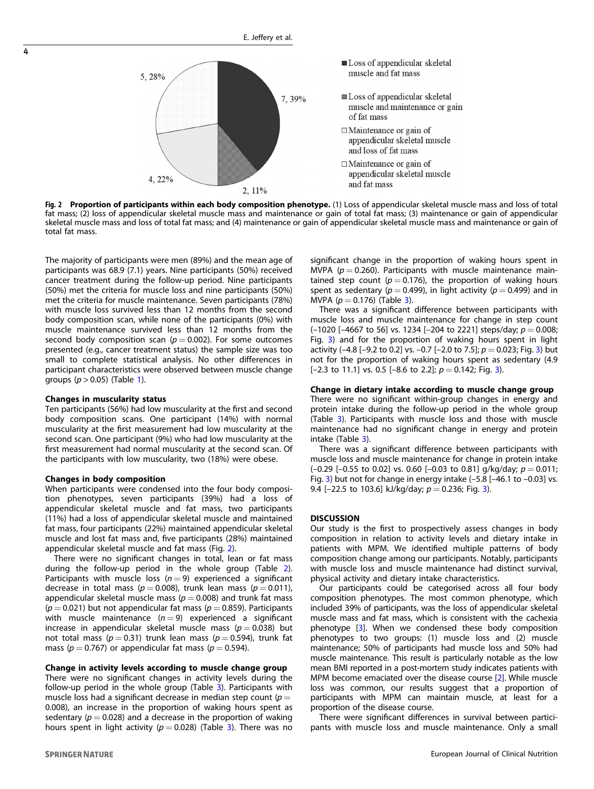

Fig. 2 Proportion of participants within each body composition phenotype. (1) Loss of appendicular skeletal muscle mass and loss of total fat mass; (2) loss of appendicular skeletal muscle mass and maintenance or gain of total fat mass; (3) maintenance or gain of appendicular skeletal muscle mass and loss of total fat mass; and (4) maintenance or gain of appendicular skeletal muscle mass and maintenance or gain of total fat mass.

The majority of participants were men (89%) and the mean age of participants was 68.9 (7.1) years. Nine participants (50%) received cancer treatment during the follow-up period. Nine participants (50%) met the criteria for muscle loss and nine participants (50%) met the criteria for muscle maintenance. Seven participants (78%) with muscle loss survived less than 12 months from the second body composition scan, while none of the participants (0%) with muscle maintenance survived less than 12 months from the second body composition scan ( $p = 0.002$ ). For some outcomes presented (e.g., cancer treatment status) the sample size was too small to complete statistical analysis. No other differences in participant characteristics were observed between muscle change groups ( $p > 0.05$ ) (Table [1\)](#page-4-0).

## Changes in muscularity status

Ten participants (56%) had low muscularity at the first and second body composition scans. One participant (14%) with normal muscularity at the first measurement had low muscularity at the second scan. One participant (9%) who had low muscularity at the first measurement had normal muscularity at the second scan. Of the participants with low muscularity, two (18%) were obese.

## Changes in body composition

When participants were condensed into the four body composition phenotypes, seven participants (39%) had a loss of appendicular skeletal muscle and fat mass, two participants (11%) had a loss of appendicular skeletal muscle and maintained fat mass, four participants (22%) maintained appendicular skeletal muscle and lost fat mass and, five participants (28%) maintained appendicular skeletal muscle and fat mass (Fig. 2).

There were no significant changes in total, lean or fat mass during the follow-up period in the whole group (Table [2](#page-6-0)). Participants with muscle loss  $(n = 9)$  experienced a significant decrease in total mass ( $p = 0.008$ ), trunk lean mass ( $p = 0.011$ ), appendicular skeletal muscle mass ( $p = 0.008$ ) and trunk fat mass ( $p = 0.021$ ) but not appendicular fat mass ( $p = 0.859$ ). Participants with muscle maintenance  $(n = 9)$  experienced a significant increase in appendicular skeletal muscle mass ( $p = 0.038$ ) but not total mass ( $p = 0.31$ ) trunk lean mass ( $p = 0.594$ ), trunk fat mass ( $p = 0.767$ ) or appendicular fat mass ( $p = 0.594$ ).

## Change in activity levels according to muscle change group

There were no significant changes in activity levels during the follow-up period in the whole group (Table [3\)](#page-7-0). Participants with muscle loss had a significant decrease in median step count ( $p =$ 0.008), an increase in the proportion of waking hours spent as sedentary ( $p = 0.028$ ) and a decrease in the proportion of waking hours spent in light activity ( $p = 0.028$ ) (Table [3](#page-7-0)). There was no significant change in the proportion of waking hours spent in MVPA ( $p = 0.260$ ). Participants with muscle maintenance maintained step count ( $p = 0.176$ ), the proportion of waking hours spent as sedentary ( $p = 0.499$ ), in light activity ( $p = 0.499$ ) and in MVPA ( $p = 0.176$ ) (Table [3](#page-7-0)).

There was a significant difference between participants with muscle loss and muscle maintenance for change in step count  $(-1020$  [-4667 to 56] vs. 1234 [-204 to 2221] steps/day;  $p = 0.008$ ; Fig. [3\)](#page-7-0) and for the proportion of waking hours spent in light activity (-4.8 [-9.2 to 0.2] vs. -0.7 [-2.0 to 7.5];  $p = 0.023$ ; Fig. [3\)](#page-7-0) but not for the proportion of waking hours spent as sedentary (4.9 [-2.3 to 11.1] vs. 0.5 [-8.6 to 2.2];  $p = 0.142$ ; Fig. [3\)](#page-7-0).

## Change in dietary intake according to muscle change group

There were no significant within-group changes in energy and protein intake during the follow-up period in the whole group (Table [3\)](#page-7-0). Participants with muscle loss and those with muscle maintenance had no significant change in energy and protein intake (Table [3\)](#page-7-0).

There was a significant difference between participants with muscle loss and muscle maintenance for change in protein intake  $(-0.29 [-0.55 \text{ to } 0.02] \text{ vs. } 0.60 [-0.03 \text{ to } 0.81] \text{ g/kg/day}; p = 0.011;$ Fig. [3](#page-7-0)) but not for change in energy intake  $(-5.8 [-46.1 \text{ to } -0.03] \text{ vs.}$ 9.4 [-22.5 to 103.6] kJ/kg/day;  $p = 0.236$ ; Fig. [3\)](#page-7-0).

#### **DISCUSSION**

Our study is the first to prospectively assess changes in body composition in relation to activity levels and dietary intake in patients with MPM. We identified multiple patterns of body composition change among our participants. Notably, participants with muscle loss and muscle maintenance had distinct survival, physical activity and dietary intake characteristics.

Our participants could be categorised across all four body composition phenotypes. The most common phenotype, which included 39% of participants, was the loss of appendicular skeletal muscle mass and fat mass, which is consistent with the cachexia phenotype [\[3\]](#page-8-0). When we condensed these body composition phenotypes to two groups: (1) muscle loss and (2) muscle maintenance; 50% of participants had muscle loss and 50% had muscle maintenance. This result is particularly notable as the low mean BMI reported in a post-mortem study indicates patients with MPM become emaciated over the disease course [[2](#page-8-0)]. While muscle loss was common, our results suggest that a proportion of participants with MPM can maintain muscle, at least for a proportion of the disease course.

There were significant differences in survival between participants with muscle loss and muscle maintenance. Only a small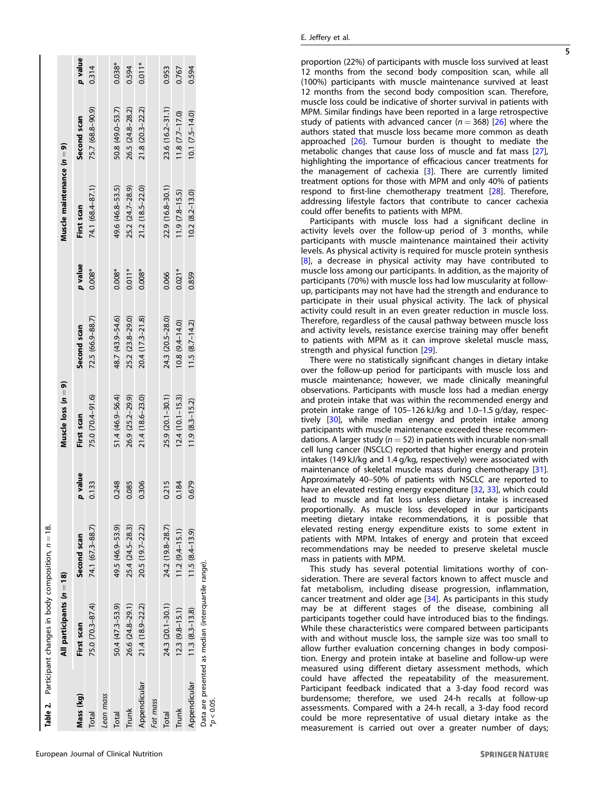<span id="page-6-0"></span>

|                 | Table 2. Participant changes in body composition, $n = 18$ . |                    |         |                     |                    |          |                            |                     |          |
|-----------------|--------------------------------------------------------------|--------------------|---------|---------------------|--------------------|----------|----------------------------|---------------------|----------|
|                 | All participants (n = 18)                                    |                    |         | Muscle loss $(n=9)$ |                    |          | Muscle maintenance $(n=9)$ |                     |          |
| Mass (kg)       | First scan                                                   | Second scan        | p value | First scan          | Second scan        | p value  | First scan                 | Second scan         | p value  |
| Total           | 75.0 (70.3-87.4)                                             | 74.1 (67.3-88.7)   | 0.133   | 75.0 (70.4-91.6)    | 72.5 (66.9-88.7)   | $0.008*$ | 74.1 (68.4-87.1)           | 75.7 (68.8-90.9)    | 0.314    |
| Lean mass       |                                                              |                    |         |                     |                    |          |                            |                     |          |
| Total           | 50.4 (47.3–53.9)                                             | 49.5 (46.9-53.9)   | 0.248   | 51.4 (46.9-56.4)    | 48.7 (43.9-54.6)   | $0.008*$ | 49.6 (46.8-53.5)           | 50.8 (49.0-53.7)    | $0.038*$ |
| Trunk           | 26.6 (24.8-29.1)                                             | $25.4(24.5-28.3)$  | 0.085   | 26.9 (25.2-29.9)    | 25.2 (23.8-29.0)   | $0.011*$ | 25.2 (24.7-28.9)           | 26.5 (24.8-28.2)    | 0.594    |
| Appendicular    | 21.4 (18.9-22.2)                                             | 20.5 (19.7-22.2)   | 0.306   | 21.4 (18.6-23.0)    | 20.4 (17.3-21.8)   | $0.008*$ | $21.2(18.5 - 22.0)$        | 21.8 (20.3-22.2)    | $0.011*$ |
| Fat mass        |                                                              |                    |         |                     |                    |          |                            |                     |          |
| Total           | 24.3 (20.1-30.1)                                             | 24.2 (19.8-28.7)   | 0.215   | 25.9 (20.1-30.1)    | 24.3 (20.5-28.0)   | 0.066    | 22.9 (16.8-30.1)           | $23.6(16.2 - 31.1)$ | 0.953    |
| Trunk           | $12.3(9.8-15.1)$                                             | $11.2(9.4 - 15.1)$ | 0.184   | $12.4(10.1 - 15.3)$ | $10.8(9.4 - 14.0)$ | $0.021*$ | $11.9(7.8 - 15.5)$         | $11.8 (7.7 - 17.0)$ | 0.767    |
| Appendicular    | $11.3(8.3-13.8)$                                             | $11.5(8.4 - 13.9)$ | 0.679   | $11.9(8.3 - 15.2)$  | $11.5(8.7 - 14.2)$ | 0.859    | $10.2(8.2 - 13.0)$         | $10.1 (7.5 - 14.0)$ | 0.594    |
| $*_{p}$ < 0.05. | Data are presented as median (interquartile range).          |                    |         |                     |                    |          |                            |                     |          |

proportion (22%) of participants with muscle loss survived at least 12 months from the second body composition scan, while all (100%) participants with muscle maintenance survived at least 12 months from the second body composition scan. Therefore, muscle loss could be indicative of shorter survival in patients with MPM. Similar findings have been reported in a large retrospective study of patients with advanced cancer  $(n = 368)$  [\[26](#page-8-0)] where the authors stated that muscle loss became more common as death approached  $[26]$  $[26]$ . Tumour burden is thought to mediate the metabolic changes that cause loss of muscle and fat mass [\[27\]](#page-8-0), highlighting the importance of efficacious cancer treatments for the management of cachexia [ [3](#page-8-0)]. There are currently limited treatment options for those with MPM and only 40% of patients respond to first-line chemotherapy treatment [\[28](#page-8-0)]. Therefore, addressing lifestyle factors that contribute to cancer cachexia could offer bene fits to patients with MPM.

Participants with muscle loss had a significant decline in activity levels over the follow-up period of 3 months, while participants with muscle maintenance maintained their activity levels. As physical activity is required for muscle protein synthesis [\[8](#page-8-0)], a decrease in physical activity may have contributed to muscle loss among our participants. In addition, as the majority of participants (70%) with muscle loss had low muscularity at followup, participants may not have had the strength and endurance to participate in their usual physical activity. The lack of physical activity could result in an even greater reduction in muscle loss. Therefore, regardless of the causal pathway between muscle loss and activity levels, resistance exercise training may offer benefit to patients with MPM as it can improve skeletal muscle mass, strength and physical function [[29](#page-8-0)].

There were no statistically significant changes in dietary intake over the follow-up period for participants with muscle loss and muscle maintenance; however, we made clinically meaningful observations. Participants with muscle loss had a median energy and protein intake that was within the recommended energy and protein intake range of 105 –126 kJ/kg and 1.0 –1.5 g/day, respec-tively [\[30](#page-8-0)], while median energy and protein intake among participants with muscle maintenance exceeded these recommendations. A larger study ( $n = 52$ ) in patients with incurable non-small cell lung cancer (NSCLC) reported that higher energy and protein intakes (149 kJ/kg and 1.4 g/kg, respectively) were associated with maintenance of skeletal muscle mass during chemotherapy [[31\]](#page-8-0). Approximately 40 –50% of patients with NSCLC are reported to have an elevated resting energy expenditure [\[32](#page-8-0), [33](#page-8-0)], which could lead to muscle and fat loss unless dietary intake is increased proportionally. As muscle loss developed in our participants meeting dietary intake recommendations, it is possible that elevated resting energy expenditure exists to some extent in patients with MPM. Intakes of energy and protein that exceed recommendations may be needed to preserve skeletal muscle mass in patients with MPM.

This study has several potential limitations worthy of consideration. There are several factors known to affect muscle and fat metabolism, including disease progression, in flammation, cancer treatment and older age [\[34](#page-8-0)]. As participants in this study may be at different stages of the disease, combining all participants together could have introduced bias to the findings. While these characteristics were compared between participants with and without muscle loss, the sample size was too small to allow further evaluation concerning changes in body composition. Energy and protein intake at baseline and follow-up were measured using different dietary assessment methods, which could have affected the repeatability of the measurement. Participant feedback indicated that a 3-day food record was burdensome; therefore, we used 24-h recalls at follow-up assessments. Compared with a 24-h recall, a 3-day food record could be more representative of usual dietary intake as the measurement is carried out over a greater number of days;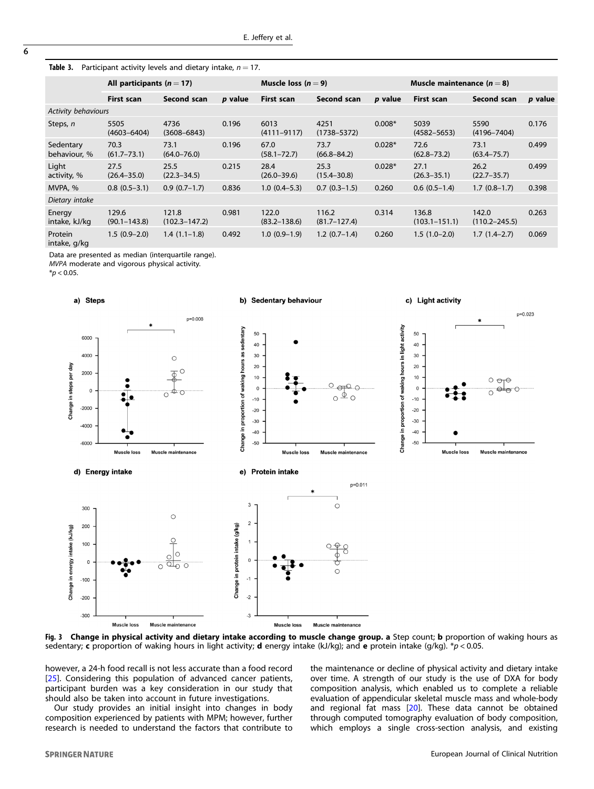<span id="page-7-0"></span>Table 3. Participant activity levels and dietary intake,  $n = 17$ .

| All participants ( $n = 17$ ) |                           | Muscle loss $(n=9)$        |         |                           | Muscle maintenance $(n = 8)$ |          |                            |                            |         |
|-------------------------------|---------------------------|----------------------------|---------|---------------------------|------------------------------|----------|----------------------------|----------------------------|---------|
|                               | <b>First scan</b>         | Second scan                | p value | First scan                | Second scan                  | p value  | First scan                 | Second scan                | p value |
| <b>Activity behaviours</b>    |                           |                            |         |                           |                              |          |                            |                            |         |
| Steps, n                      | 5505<br>$(4603 - 6404)$   | 4736<br>$(3608 - 6843)$    | 0.196   | 6013<br>$(4111 - 9117)$   | 4251<br>$(1738 - 5372)$      | $0.008*$ | 5039<br>$(4582 - 5653)$    | 5590<br>$(4196 - 7404)$    | 0.176   |
| Sedentary<br>behaviour, %     | 70.3<br>$(61.7 - 73.1)$   | 73.1<br>$(64.0 - 76.0)$    | 0.196   | 67.0<br>$(58.1 - 72.7)$   | 73.7<br>$(66.8 - 84.2)$      | $0.028*$ | 72.6<br>$(62.8 - 73.2)$    | 73.1<br>$(63.4 - 75.7)$    | 0.499   |
| Light<br>activity, %          | 27.5<br>$(26.4 - 35.0)$   | 25.5<br>$(22.3 - 34.5)$    | 0.215   | 28.4<br>$(26.0 - 39.6)$   | 25.3<br>$(15.4 - 30.8)$      | $0.028*$ | 27.1<br>$(26.3 - 35.1)$    | 26.2<br>$(22.7 - 35.7)$    | 0.499   |
| MVPA, %                       | $0.8(0.5-3.1)$            | $0.9(0.7-1.7)$             | 0.836   | $1.0(0.4-5.3)$            | $0.7(0.3-1.5)$               | 0.260    | $0.6(0.5-1.4)$             | $1.7(0.8-1.7)$             | 0.398   |
| Dietary intake                |                           |                            |         |                           |                              |          |                            |                            |         |
| Energy<br>intake, kJ/kg       | 129.6<br>$(90.1 - 143.8)$ | 121.8<br>$(102.3 - 147.2)$ | 0.981   | 122.0<br>$(83.2 - 138.6)$ | 116.2<br>$(81.7 - 127.4)$    | 0.314    | 136.8<br>$(103.1 - 151.1)$ | 142.0<br>$(110.2 - 245.5)$ | 0.263   |
| Protein<br>intake, g/kg       | $1.5(0.9-2.0)$            | $1.4(1.1-1.8)$             | 0.492   | $1.0(0.9-1.9)$            | $1.2(0.7-1.4)$               | 0.260    | $1.5(1.0-2.0)$             | $1.7(1.4-2.7)$             | 0.069   |

Data are presented as median (interquartile range).

MVPA moderate and vigorous physical activity.

 $*$ *p* < 0.05.



Fig. 3 Change in physical activity and dietary intake according to muscle change group. a Step count; b proportion of waking hours as sedentary; c proportion of waking hours in light activity; d energy intake (kJ/kg); and e protein intake (g/kg). \*p < 0.05.

however, a 24-h food recall is not less accurate than a food record [[25](#page-8-0)]. Considering this population of advanced cancer patients, participant burden was a key consideration in our study that should also be taken into account in future investigations.

Our study provides an initial insight into changes in body composition experienced by patients with MPM; however, further research is needed to understand the factors that contribute to

the maintenance or decline of physical activity and dietary intake over time. A strength of our study is the use of DXA for body composition analysis, which enabled us to complete a reliable evaluation of appendicular skeletal muscle mass and whole-body and regional fat mass [\[20](#page-8-0)]. These data cannot be obtained through computed tomography evaluation of body composition, which employs a single cross-section analysis, and existing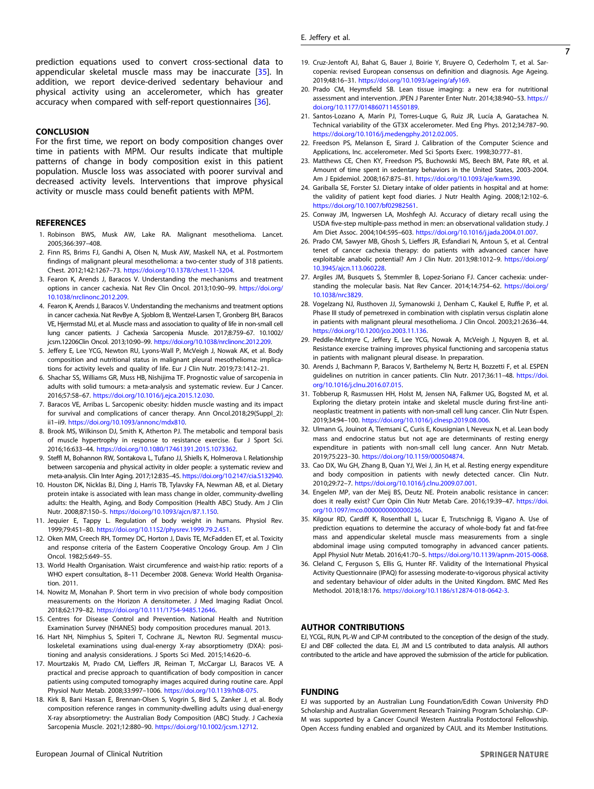<span id="page-8-0"></span>prediction equations used to convert cross-sectional data to appendicular skeletal muscle mass may be inaccurate [35]. In addition, we report device-derived sedentary behaviour and physical activity using an accelerometer, which has greater accuracy when compared with self-report questionnaires [36].

### **CONCLUSION**

For the first time, we report on body composition changes over time in patients with MPM. Our results indicate that multiple patterns of change in body composition exist in this patient population. Muscle loss was associated with poorer survival and decreased activity levels. Interventions that improve physical activity or muscle mass could benefit patients with MPM.

## **REFERENCES**

- 1. Robinson BWS, Musk AW, Lake RA. Malignant mesothelioma. Lancet. 2005;366:397–408.
- 2. Finn RS, Brims FJ, Gandhi A, Olsen N, Musk AW, Maskell NA, et al. Postmortem findings of malignant pleural mesothelioma: a two-center study of 318 patients. Chest. 2012;142:1267–73. [https://doi.org/10.1378/chest.11-3204.](https://doi.org/10.1378/chest.11-3204)
- 3. Fearon K, Arends J, Baracos V. Understanding the mechanisms and treatment options in cancer cachexia. Nat Rev Clin Oncol. 2013;10:90–99. [https://doi.org/](https://doi.org/10.1038/nrclinonc.2012.209) [10.1038/nrclinonc.2012.209.](https://doi.org/10.1038/nrclinonc.2012.209)
- 4. Fearon K, Arends J, Baracos V. Understanding the mechanisms and treatment options in cancer cachexia. Nat RevBye A, Sjoblom B, Wentzel-Larsen T, Gronberg BH, Baracos VE, Hjermstad MJ, et al. Muscle mass and association to quality of life in non-small cell lung cancer patients. J Cachexia Sarcopenia Muscle. 2017;8:759–67. 10.1002/ jcsm.12206Clin Oncol. 2013;10:90–99. <https://doi.org/10.1038/nrclinonc.2012.209>.
- 5. Jeffery E, Lee YCG, Newton RU, Lyons-Wall P, McVeigh J, Nowak AK, et al. Body composition and nutritional status in malignant pleural mesothelioma: implications for activity levels and quality of life. Eur J Clin Nutr. 2019;73:1412–21.
- 6. Shachar SS, Williams GR, Muss HB, Nishijima TF. Prognostic value of sarcopenia in adults with solid tumours: a meta-analysis and systematic review. Eur J Cancer. 2016;57:58–67. <https://doi.org/10.1016/j.ejca.2015.12.030>.
- 7. Baracos VE, Arribas L. Sarcopenic obesity: hidden muscle wasting and its impact for survival and complications of cancer therapy. Ann Oncol.2018;29(Suppl\_2): ii1–ii9. <https://doi.org/10.1093/annonc/mdx810>.
- 8. Brook MS, Wilkinson DJ, Smith K, Atherton PJ. The metabolic and temporal basis of muscle hypertrophy in response to resistance exercise. Eur J Sport Sci. 2016;16:633–44. [https://doi.org/10.1080/17461391.2015.1073362.](https://doi.org/10.1080/17461391.2015.1073362)
- 9. Steffl M, Bohannon RW, Sontakova L, Tufano JJ, Shiells K, Holmerova I. Relationship between sarcopenia and physical activity in older people: a systematic review and meta-analysis. Clin Inter Aging. 2017;12:835–45. [https://doi.org/10.2147/cia.S132940.](https://doi.org/10.2147/cia.S132940)
- 10. Houston DK, Nicklas BJ, Ding J, Harris TB, Tylavsky FA, Newman AB, et al. Dietary protein intake is associated with lean mass change in older, community-dwelling adults: the Health, Aging, and Body Composition (Health ABC) Study. Am J Clin Nutr. 2008;87:150–5. [https://doi.org/10.1093/ajcn/87.1.150.](https://doi.org/10.1093/ajcn/87.1.150)
- 11. Jequier E, Tappy L. Regulation of body weight in humans. Physiol Rev. 1999;79:451–80. <https://doi.org/10.1152/physrev.1999.79.2.451>.
- 12. Oken MM, Creech RH, Tormey DC, Horton J, Davis TE, McFadden ET, et al. Toxicity and response criteria of the Eastern Cooperative Oncology Group. Am J Clin Oncol. 1982;5:649–55.
- 13. World Health Organisation. Waist circumference and waist-hip ratio: reports of a WHO expert consultation, 8-11 December 2008. Geneva: World Health Organisation. 2011.
- 14. Nowitz M, Monahan P. Short term in vivo precision of whole body composition measurements on the Horizon A densitometer. J Med Imaging Radiat Oncol. 2018;62:179–82. [https://doi.org/10.1111/1754-9485.12646.](https://doi.org/10.1111/1754-9485.12646)
- 15. Centres for Disease Control and Prevention. National Health and Nutrition Examination Survey (NHANES) body composition procedures manual. 2013.
- 16. Hart NH, Nimphius S, Spiteri T, Cochrane JL, Newton RU. Segmental musculoskeletal examinations using dual-energy X-ray absorptiometry (DXA): positioning and analysis considerations. J Sports Sci Med. 2015;14:620–6.
- 17. Mourtzakis M, Prado CM, Lieffers JR, Reiman T, McCargar LJ, Baracos VE. A practical and precise approach to quantification of body composition in cancer patients using computed tomography images acquired during routine care. Appl Physiol Nutr Metab. 2008;33:997–1006. [https://doi.org/10.1139/h08-075.](https://doi.org/10.1139/h08-075)
- 18. Kirk B, Bani Hassan E, Brennan-Olsen S, Vogrin S, Bird S, Zanker J, et al. Body composition reference ranges in community-dwelling adults using dual-energy X-ray absorptiometry: the Australian Body Composition (ABC) Study. J Cachexia Sarcopenia Muscle. 2021;12:880–90. <https://doi.org/10.1002/jcsm.12712>.
- 19. Cruz-Jentoft AJ, Bahat G, Bauer J, Boirie Y, Bruyere O, Cederholm T, et al. Sarcopenia: revised European consensus on definition and diagnosis. Age Ageing. 2019;48:16–31. <https://doi.org/10.1093/ageing/afy169>.
- 20. Prado CM, Heymsfield SB. Lean tissue imaging: a new era for nutritional assessment and intervention. JPEN J Parenter Enter Nutr. 2014;38:940–53. [https://](https://doi.org/10.1177/0148607114550189) [doi.org/10.1177/0148607114550189.](https://doi.org/10.1177/0148607114550189)
- 21. Santos-Lozano A, Marín PJ, Torres-Luque G, Ruiz JR, Lucía A, Garatachea N. Technical variability of the GT3X accelerometer. Med Eng Phys. 2012;34:787–90. [https://doi.org/10.1016/j.medengphy.2012.02.005.](https://doi.org/10.1016/j.medengphy.2012.02.005)
- 22. Freedson PS, Melanson E, Sirard J. Calibration of the Computer Science and Applications, Inc. accelerometer. Med Sci Sports Exerc. 1998;30:777–81.
- 23. Matthews CE, Chen KY, Freedson PS, Buchowski MS, Beech BM, Pate RR, et al. Amount of time spent in sedentary behaviors in the United States, 2003-2004. Am J Epidemiol. 2008;167:875–81. [https://doi.org/10.1093/aje/kwm390.](https://doi.org/10.1093/aje/kwm390)
- 24. Gariballa SE, Forster SJ. Dietary intake of older patients in hospital and at home: the validity of patient kept food diaries. J Nutr Health Aging. 2008;12:102–6. <https://doi.org/10.1007/bf02982561>.
- 25. Conway JM, Ingwersen LA, Moshfegh AJ. Accuracy of dietary recall using the USDA five-step multiple-pass method in men: an observational validation study. J Am Diet Assoc. 2004;104:595–603. [https://doi.org/10.1016/j.jada.2004.01.007.](https://doi.org/10.1016/j.jada.2004.01.007)
- 26. Prado CM, Sawyer MB, Ghosh S, Lieffers JR, Esfandiari N, Antoun S, et al. Central tenet of cancer cachexia therapy: do patients with advanced cancer have exploitable anabolic potential? Am J Clin Nutr. 2013;98:1012–9. [https://doi.org/](https://doi.org/10.3945/ajcn.113.060228) [10.3945/ajcn.113.060228.](https://doi.org/10.3945/ajcn.113.060228)
- 27. Argiles JM, Busquets S, Stemmler B, Lopez-Soriano FJ. Cancer cachexia: understanding the molecular basis. Nat Rev Cancer. 2014;14:754–62. [https://doi.org/](https://doi.org/10.1038/nrc3829) [10.1038/nrc3829](https://doi.org/10.1038/nrc3829).
- 28. Vogelzang NJ, Rusthoven JJ, Symanowski J, Denham C, Kaukel E, Ruffie P, et al. Phase III study of pemetrexed in combination with cisplatin versus cisplatin alone in patients with malignant pleural mesothelioma. J Clin Oncol. 2003;21:2636–44. [https://doi.org/10.1200/jco.2003.11.136.](https://doi.org/10.1200/jco.2003.11.136)
- 29. Peddle-McIntyre C, Jeffery E, Lee YCG, Nowak A, McVeigh J, Nguyen B, et al. Resistance exercise training improves physical functioning and sarcopenia status in patients with malignant pleural disease. In preparation.
- 30. Arends J, Bachmann P, Baracos V, Barthelemy N, Bertz H, Bozzetti F, et al. ESPEN guidelines on nutrition in cancer patients. Clin Nutr. 2017;36:11–48. [https://doi.](https://doi.org/10.1016/j.clnu.2016.07.015) [org/10.1016/j.clnu.2016.07.015.](https://doi.org/10.1016/j.clnu.2016.07.015)
- 31. Tobberup R, Rasmussen HH, Holst M, Jensen NA, Falkmer UG, Bogsted M, et al. Exploring the dietary protein intake and skeletal muscle during first-line antineoplastic treatment in patients with non-small cell lung cancer. Clin Nutr Espen. 2019;34:94–100. <https://doi.org/10.1016/j.clnesp.2019.08.006>.
- 32. Ulmann G, Jouinot A, Tlemsani C, Curis E, Kousignian I, Neveux N, et al. Lean body mass and endocrine status but not age are determinants of resting energy expenditure in patients with non-small cell lung cancer. Ann Nutr Metab. 2019;75:223–30. <https://doi.org/10.1159/000504874>.
- 33. Cao DX, Wu GH, Zhang B, Quan YJ, Wei J, Jin H, et al. Resting energy expenditure and body composition in patients with newly detected cancer. Clin Nutr. 2010;29:72–7. [https://doi.org/10.1016/j.clnu.2009.07.001.](https://doi.org/10.1016/j.clnu.2009.07.001)
- 34. Engelen MP, van der Meij BS, Deutz NE. Protein anabolic resistance in cancer: does it really exist? Curr Opin Clin Nutr Metab Care. 2016;19:39–47. [https://doi.](https://doi.org/10.1097/mco.0000000000000236) [org/10.1097/mco.0000000000000236](https://doi.org/10.1097/mco.0000000000000236).
- 35. Kilgour RD, Cardiff K, Rosenthall L, Lucar E, Trutschnigg B, Vigano A. Use of prediction equations to determine the accuracy of whole-body fat and fat-free mass and appendicular skeletal muscle mass measurements from a single abdominal image using computed tomography in advanced cancer patients. Appl Physiol Nutr Metab. 2016;41:70–5. [https://doi.org/10.1139/apnm-2015-0068.](https://doi.org/10.1139/apnm-2015-0068)
- 36. Cleland C, Ferguson S, Ellis G, Hunter RF. Validity of the International Physical Activity Questionnaire (IPAQ) for assessing moderate-to-vigorous physical activity and sedentary behaviour of older adults in the United Kingdom. BMC Med Res Methodol. 2018;18:176. [https://doi.org/10.1186/s12874-018-0642-3.](https://doi.org/10.1186/s12874-018-0642-3)

# AUTHOR CONTRIBUTIONS

EJ, YCGL, RUN, PL-W and CJP-M contributed to the conception of the design of the study. EJ and DBF collected the data. EJ, JM and LS contributed to data analysis. All authors contributed to the article and have approved the submission of the article for publication.

## FUNDING

EJ was supported by an Australian Lung Foundation/Edith Cowan University PhD Scholarship and Australian Government Research Training Program Scholarship. CJP-M was supported by a Cancer Council Western Australia Postdoctoral Fellowship. Open Access funding enabled and organized by CAUL and its Member Institutions.